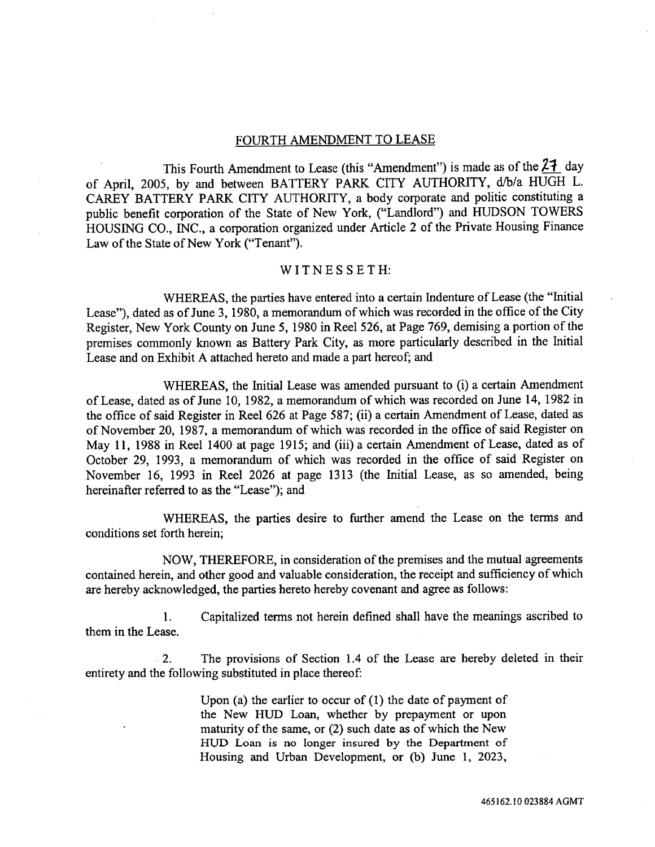#### FOURTH AMENDMENT TO LEASE

This Fourth Amendment to Lease (this "Amendment") is made as of the  $2\frac{1}{2}$  day of April, 2005, by and be*t*ween BATTERY PARK CITY AUTHORITY, d*/*b*/*a HUGH *L*. CAREY BATTERY *P*ARK CITY AUTHORITY, a body corpora*t***e** and poli**t**ic c*o*ns*t*i**t**uting a public benefi*t* corpora*t*ion of the State of New York, ("*L*andlord") and HUDSON TOWERS HOUSING CO., INC., a corpora**t**ion *o*rganized und**e**r Ar*t*icle 2 of **t**he *P*riva**t**e Housing Finance Law of *t*he Sta**te** of New York ("Tenan**t**").

### WITNESSETH:

WHEREAS, the par**t**ies have en*t*ered into a c**e**rtain Inden*t*ure of Lease (the "Ini**t**ial Lease"), da**t**ed as of June 3, 1980, a memorandum of which was recorded in *t*he office of the Ci*t*y Register, New York Coun*t*y on June 5, 1980 in Reel 526, a*t P*age **7**69, d**e**mising a portion *o*f *t*he premises commonly kn*o*wn as Battery Park *C*i**t**y, as mor**e** particularly described in the Ini**t**ial Lease and on E*x*hibit A a*tt*ached here*t*o and made a par*t* hereof; and

WHEREAS, **t**he Initial Lease was amended pursuan**t** *t*o (i) a certain Amendment of Lease, da**t**ed as *o*f June 10, 1982, a memorandum *o*f which was rec*o*rded *o*n June 1**4**, 1982 in *t*he offic**e** *o*f said Register in Reel 626 at *P*age *5*8**7**; (ii) a cer*t*ain Amendmen*t o*f Lease, dated as of November 20, 198**7**, a m**e**m*o*randum *o*f which was rec*o*rded in *t*he *o*ffic**e** *o*f said Regis*t*er *o*n May 11, 1988 in Reel 1400 a*t* page 1915; and (iii) a certain Amendm**e**nt of *L*ease, da**t**ed as *o*f October 29, 1993, a mem*o*randum of which was recorded in the office of said Regis*t*er on N*o*vember 16, 1993 in Reel 2026 a**t** page 1313 (*t*he Initial *L*ease, as so amended, being hereinafter referred to as the "Lease"); and

WHEREAS, the parties desire to further amend the Lease on the terms and conditions set forth herein;

NOW, THEREFORE, in consideration of the premises and the mutual agreements contained herein, and other good and valuable consideration, the receipt and sufficiency of which are hereby acknowledged, the parties hereto hereby covenant and agree as follows:

1. Capitalized terms not herein defined shall have the meanings ascribed to them in the Lease.

2. The provisions of Section 1.4 of the Lease are hereby deleted in their entirety and the following substituted in place thereof:

> Upon (a) the earlier to occur of (1) the date of payment of the New HUD Loan, whether by prepayment or upon maturity of the same, or (2) such date as of which the New HU*D* Loan is no longer insured by the Department of Housing and Urban Development, or (b) June 1, 2023,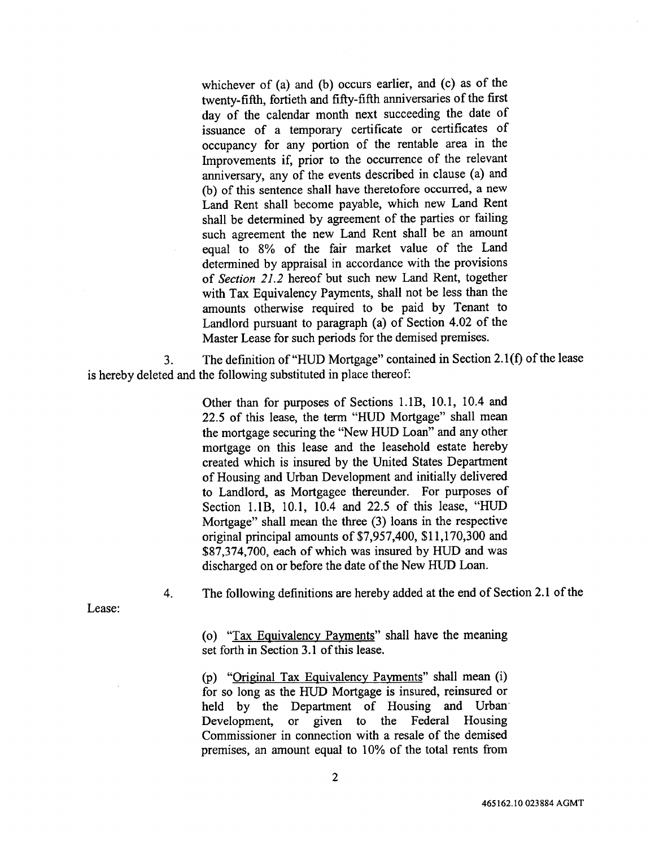whichever of (a) and (b) occurs earlier, and (c) as of the twenty-fifth, fortieth and fifty-fifth anniversaries of the first day of the calendar month next succeeding the date of issuance of a temporary certificate or certificates of occupancy for any portion of the rentable area in the Improvements if, prior to the occurrence of the relevant anniversary, any of the events described in clause (a) and (b) of this sentence shall have theretofore occurred, a new Land Rent shall become payable, which new Land Rent shall be determined by agreement of the parties or failing such agreement the new Land Rent shall be an amount equal to 8% of the fair market value of the Land determined by appraisal in accordance with the provisions of *Section 21*.*2* hereof but such new Land Rent, together with Tax Equivalency Payments, shall not be less than the amounts otherwise required to be paid by Tenant to Landlord pursuant to paragraph (a) of Section 4.02 of the Master Lease for such periods for the demised premises.

3. The definition of "HUD Mortgage" contained in Section 2.1(f) of the lease is hereby deleted and the following substituted in place thereof:

> Other than for purposes of Sections 1.1B, 10.1, 10.4 and 22.5 of this lease, the term "HUD Mortgage" shall mean the mortgage securing the "New HUD Loan" and any other mortgage on this lease and the leasehold estate hereby created which is insured by the United States Department of Housing and Urban Development and initially delivered to Landlord, as Mortgagee thereunder. For purposes of Section 1.1B, 10.1, 10.4 and 22.5 of this lease, "HUD Mortgage" shall mean the three (3) loans in the respective original principal amounts of \$7,957,400, \$11,170,300 and \$87,374,700, each of which was insured by HUD and was discharged on or before the date of the New HUD Loan.

4. The following definitions are hereby added at the end of Section 2.1 of the

Lease:

(o) "Tax Equivalency Payments" shall have the meaning set forth in Section 3.1 of this lease.

(p) "Original Tax Equivalency Payments" shall mean (i) for so long as the HUD Mortgage is insured, reinsured or held by the Department of Housing and Urban<br>Development, or given to the Federal Housing or given to the Federal Housing Commissioner in connection with a resale of the demised premises, an amount equal to 10% of the total rents from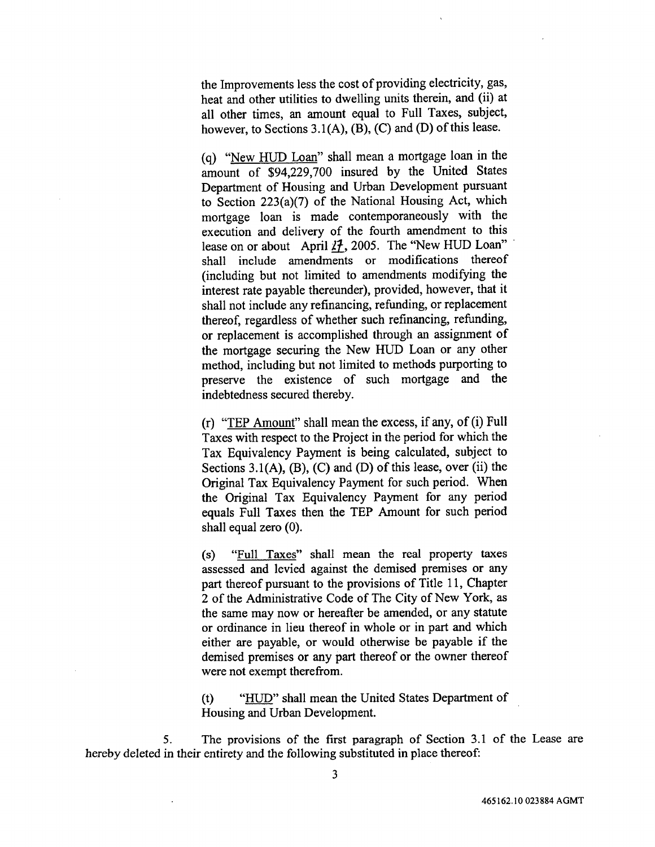the Improvements less the cost of providing electricity, gas, heat and other utilities to dwelling units therein, and (ii) at all other times, an amount equal to Full Taxes, subject, however, to Sections 3.1(A), (B), (C) and (D) of this lease.

(q) "New HUD Loan" shall mean a mortgage loan in the amount of \$94,229,700 insured by the United States Department of Housing and Urban Development pursuant to Section 223(a)(7) of the National Housing Act, which mortgage loan is made contemporaneously with the execution and delivery of the fourth amendment to this lease on or about April 27, 2005. The "New HUD Loan" shall include amendments or modifications thereof (including but not limited to amendments modifying the interest rate payable thereunder), provided, however, that it shall not include any refinancing, refunding, or replacement thereof, regardless of whether such refinancing, refunding, or replacement is accomplished through an assignment of the m**o**rtgage securing the New HUD Loan or any **o**ther method, including but not limited to methods purporting to preserve the existence of such mortgage and the indebtedness secured thereby.

(r) "TEP Amount" shall mean the excess, if any, of (i) Full Taxes with respect to the Project in the period for which the Tax Equivalency Payment is being calculated, subject to Sections 3.1(A), (B), (C) and (D) of this lease, over (ii) the Original Tax Equivalency Payment for such period. When the Original Tax Equivalency Payment for any period equals Full Taxes then the TEP Amount for such period shall equal zero (0).

(s) "Full Taxes" shall mean the real property taxes assessed and levied against the demised premises or any part thereof pursuant to the provisions of Title 11, Chapter 2 of the Administrative Code of The City of New York, as the same may now or hereafter be amended, or any statute or ordinance in lieu thereof in whole or in part and which either are payable, or would otherwise be payable if the demised premises or any part thereof or the owner thereof were not exempt therefrom.

(t) "HUD" shall mean the United States Department of Housing and Urban Development.

5. The provisions of the first paragraph of Section 3.1 of the Lease are hereby deleted in their entirety and the following substituted in place thereof: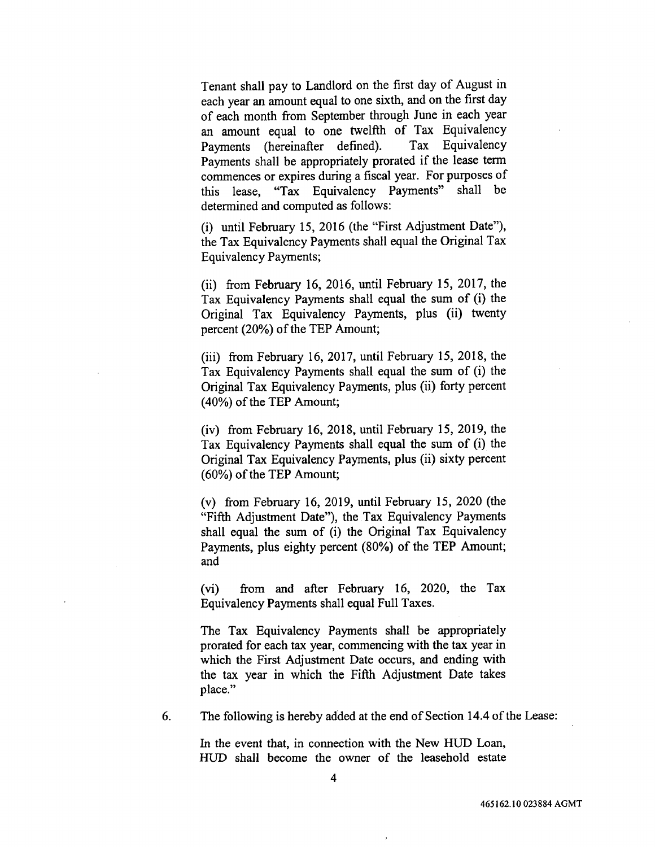**T**enant shall pay to Land**l**ord **o**n the first day of Augus**t** in each year an amount equal to one sixth, and on the first day of each month from September through June in each year an amount equal to one twelfth of Tax Equivalency<br>Payments (hereinafter defined). Tax Equivalency Payments (hereinafter defined). Payments shall be approp**ri**ately prorated if the lease term commences or expires during a fiscal year. For purposes of this lease, "Tax Equivalency Payments" shall be determined and computed as follows:

(i) until February 15, 2016 (the "First Adjustment Date"), the Tax Equivalency Payments shall equal the O**ri**ginal Tax Equivalency Payments;

(ii) from February 16, 2016, until February 15, 2017, the Tax Equivalency Payments shall equal the sum of (i) the Original Tax Equivalency Payments, plus (ii) twenty percent (20%) of the TEP Amount;

(iii) from February 16, 2017, until February 15, 2018, the Tax Equivalency Payments shall equal the sum of (i) the Original Tax Equivalency Payments, plus (ii) forty percent (40%) of the TEP Amount;

(iv) from February 16, 2018, until February 15, 2019, the Tax Equivalency Payments shall equal the sum of (i) the Original Tax Equivalency Payments, plus (ii) sixty percent (60%) of the TEP Amount;

(v) from February 16, 2019, until February 15, 2020 (the "Fifth Adjustment Date"), the Tax Equivalency Payments shall equal the sum of (i) the Original Tax Equivalency Payments, plus eighty percent (80%) of the TEP Amount; and

(vi) from and atter February 16, 2020, the Tax Equivalency Payments shall equal Full Taxes.

The *T*ax Equivalency Payments shall be appropriately prorated for each tax year, commencing with the tax year in which the First Adjustment Date occurs, and ending with the tax year in which the Fifth Adjustment Date takes place."

6. The following is hereby added at the end of Section 14.4 of the Lease:

In the event that, in connection with the New HUD Loan, HUD shall become the owner of the leasehold estate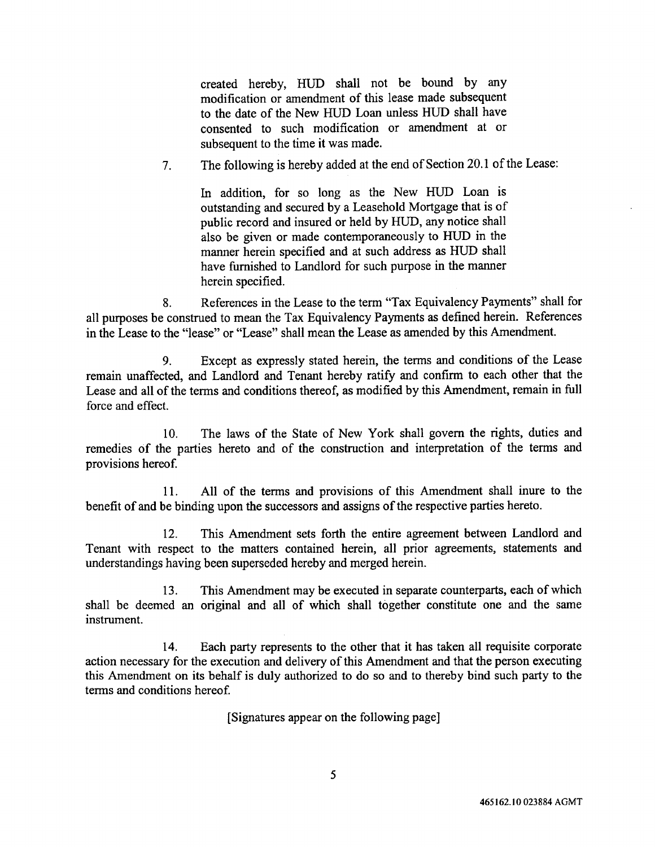created hereby, HUD shall n**o**t be boun**d** by any m**od**ification or amendment **o**f this lease made subsequent to the date of the New HUD Loan unless HUD shall have consented to such modification or amendment at or subsequent to the time it was made.

7. The following is hereby added at the end of Section 20.1 of the Lease:

In addition, for so long as the New HUD Loan is outstanding and secured by a Leasehold Mortgage that is of public record and insured or held by HUD, any notice shall also be given or made contemporaneously to HUD in the manner herein specified and at such address as HUD shall have furnished to Landlord for such purpose in the manner herein specified.

8. References in the Lease to the term "Tax Equivalency Payments" shall for all purposes be construed to mean the Tax Equivalency Payments as defined herein. References in the Lease to the "lease" or "Lease" shall mean the Lease as amended by this Amendment.

9. Except as expressly stated herein, the terms and conditions of the Lease remain unaffected, and Landlord and Tenant hereby ratify and confirm to each other that the Lease and all of the terms and conditions thereof, as modified by this Amendment, remain in full force and effect.

10. The laws of the State of New York shall govern the rights, duties and remedies of the parties hereto and of the construction and interpretation of the terms and provisions hereof.

11. All of the terms and provisions of this *A*mendment shall inure to the benefit of and be binding upon the successors and assigns of the respective parties hereto.

12. This Amendment sets forth the entire agreement between Landlord and Tenant with respect to the matters contained herein, all prior agreements, statements and understandings having been superseded hereby and merged herein.

13. This Amendment may be executed in separate counterparts, each of which shall be deemed an original and all of which shall together constitute one and the same instrument.

14. Each party represents to the other that it has taken all requisite corporate action necessary for the execution and delivery of this Amendment and that the person executing this Amendment on its behalf is duly authorized to do so and to thereby bind such party to the terms and conditions hereof.

[Signatures appear on the following page]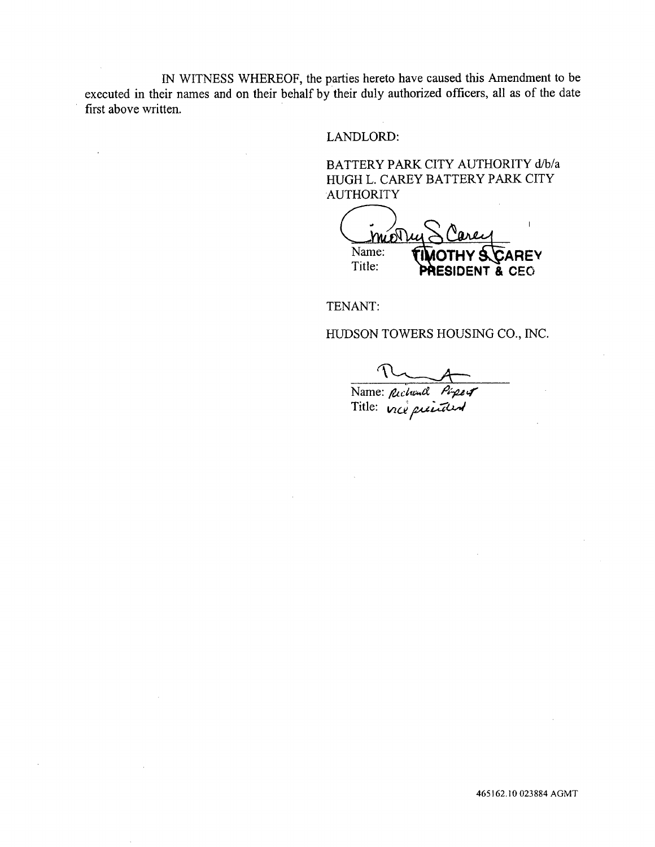IN WITNESS WHEREOF, the parties hereto have caused this Amendment to be executed in their names and on their behalf by their duly authorized officers, all as of the date first above written.

 $\ddot{\phantom{a}}$ 

LANDLORD:

BATTERY PARK CITY AUTHORITY d*/*b*/*a HUGH L. CAREY BATTERY PARK CITY **AUTHORITY** 

Name: **TIMOTHY & CAREY**<br>Title: **DOESIDENT & CEO** Title: **PRESIDENT &** C**E**O

TENANT:

HU*D*SON TOWERS HOUSING CO., INC.

Name: \_&*cl*,*u*,,*og* P*Oet*,*g*"

Title: wd*/e*\_z*g*&"t\*,*4*

465162.10 023884 AGMT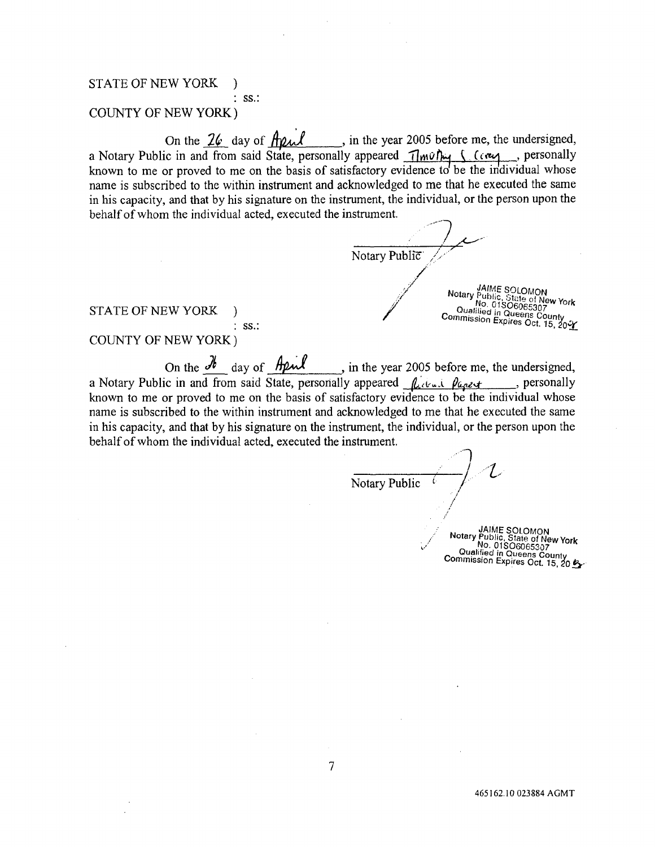### STA**T**E OF NEW YORK ) • SS**.:**

## COUNTY OF NEW YORK)

On the  $\angle\psi$  day of  $\eta\gamma$  , in the year 2005 before me, the undersigned a Notary Public in and from said State, personally appeared <u>approximately second</u> preservative known to me or proved to me on the basis of satisfactory evidence to be the individual whose name is subscribed to the within instrument and acknowledged to me that he executed the same in his capacity*,* and that by his signature on the instrument, the individual, or the person upon the behalf of whom the individual acted*,* executed the instrument.

Notary Public **BULLER SOLOMON** WE WANTED THE PUT OF NEW YORK

**STATE OF NEW YORK** 

' S**S.**:

### COUNTY OF NEW YORK )

On the <u>secal</u> day of  $\frac{m}{2}$ , in the year 2005 before me, the undersigned a Notary Public in and from said State, personally appeared *flatted pages* for personally known to me or proved to me on the basis of satisfactory evidence to be the individual whose name is subscribed to the within instrument and acknowledged to me that he executed the same in his capacity, and that by his signature on the instrument*,* the individual, or the person upon the behalf of whom the individual acted, executed the instrument.

—— *|* ' ' L No <sup>S</sup> */ t*ary Public c. . j*/'* ,J **Notary JAIME SOLOMON**  $\sqrt{10.018}$  No. 01SO60653a7 Commission Europeens Count

Commission Exp!res Oct. 15, \_¢0\_..1..\_-.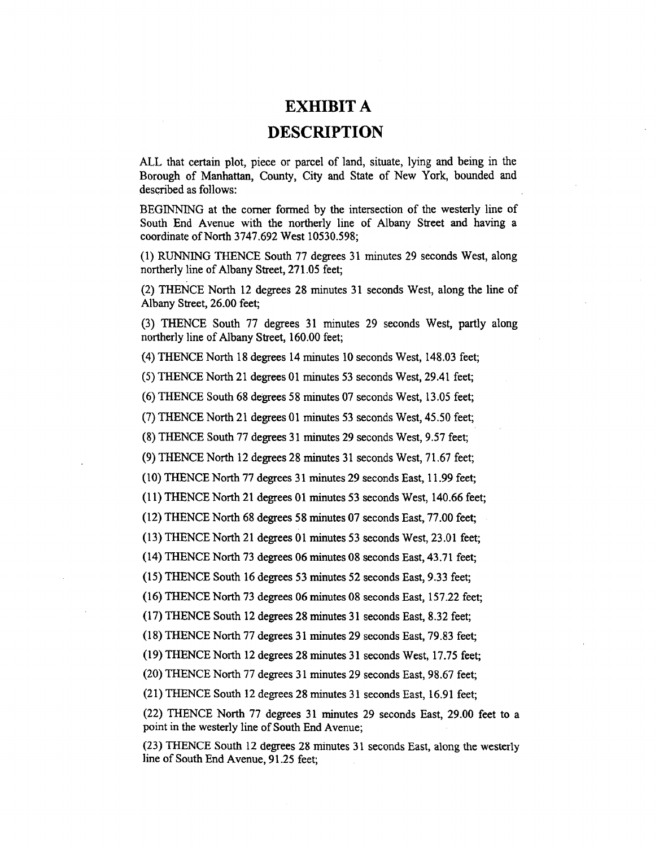# EXH**IB**IT **A D**E**SCRIPTIO**N

ALL that certain plot, piece or parcel of land, situate, lying and being in the **B**or**ou**gh **of** Manhattan, C**o**unty, City and State **o**f N**e**w Y**o**rk, b**o**un**ded** and desc**ri**b**e**d **a**s follows:

BEGINNING **a**t the corner formed by th**e** int**e**rsection of the westerly lin**e** of South End Avenue with the northerly lin**e** of Albany Street **a***n*d h**a**ving a co**o**rdinate of North 3747.6**9**2 West 10530.5**9**8;

(1) RUNNING THENCE South 77 degrees 31 minut**e**s 29 se**c**onds West, **a**long northe**rl**y line of Albany Stre**e**t, 271.05 fe**e**t;

(2) TH**E**NC**E** North 12 degrees 28 minutes 31 seconds West, along the lin**e** of Albany Street, 26.00 f**ee**t;

(3) TH**E**NCE South 77 degrees 31 minut**e**s 29 seconds West, p**ar**tly **a**long northe**rl**y lin**e** of Albany Str**ee**t, 160.00 feet;

(**4**) TH**E**NC**E** North 18 degr**e**es 14 minut**e**s I0 seconds W**e**st, 14**8**.03 f**e**et;

(5) TH**E**NC**E** North 21 degrees 01 minut**e**s 53 seconds W**e**st, 29.41 f**ee**t;

(6) TH**E**NC**E** South 6**8** degrees 58 minutes 07 seconds West, 13.05 fe**e**t;

(7) TH**E**NC**E** North 21 d**e**grees 01 minut**e**s 53 seconds W**e**st, 45.50 fe**e**t;

(**8**) **T**H**E**NC**E** South 77 degrees 31 minutes 29 s**e**conds West, 9.57 fe**e**t;

(9) TH**E**NC**E** North 12 degrees 2**8** minut**e**s 31 seconds W**e**st, 71.67 feet;

(10) TH**E**NC**E** North 77 d**e**grees 31 minutes 29 s**e**conds **E**ast*,* 11.99 f**e**et;

(11) THENCE North 21 degrees 01 minutes 53 s**e**conds West, 140.66 feet;

(12) THENC**E** North 6**8** degr**e**es 5**8** minutes 07 seconds **E**ast, 77.00 f**ee**t;

(13) TH**E**NCE North 21 degre**e**s 01 minutes 53 s**e**conds W**e**st, 23.01 f**ee**t;

(14) THENCE North 73 d**e**grees 06 minut**e**s 0**8** seconds **E**ast, 4**3**.**7**1 f**e**et;

(15) TH**E**NC**E** South 16 degre**e**s 53 minutes 52 s**e**conds **Ea**st, 9.3**3** f**e**et;

(16) THENC**E** North **7**3 degr**ee**s 06 minut**e**s 0**8** seconds E**a**st, 157.22 f**ee**t;

(17) THENC**E** South 12 degrees 28 minut**e**s 31 seconds E**a**st, 8.32 feet;

(18) TH**E**NC**E** North **7**7 degre**e**s **3**1 minut**e**s 29 seconds **Ea**st, 79.83 f**ee**t;

(19) TH**E**NCE North 12 d**e**grees 28 minutes 31 s**ec**onds West, 17.75 feet;

(20) TH**E**NCE North 77 degr**e**es 31 minutes 29 s**e**conds E**a**st, 9**8**.67 fe**e**t;

(21) TH**E**NC**E** South 12 degrees 2**8** min**u**tes 31 seconds **E**ast, 16.91 feet;

(22) TH**E**NCE North 77 degr**e**es 31 minut**e**s 29 s**e**conds **Ea**st, 29.00 feet to **a** point in the w**e**sterly line of South End Avenu**e**;

(23) **T**HENCE **S**outh 12 **d**egrees 28 minutes **3**1 secon**d**s **E**ast, along th**e** westerly line of South End Av**e**nue, 91.25 fe**e**t;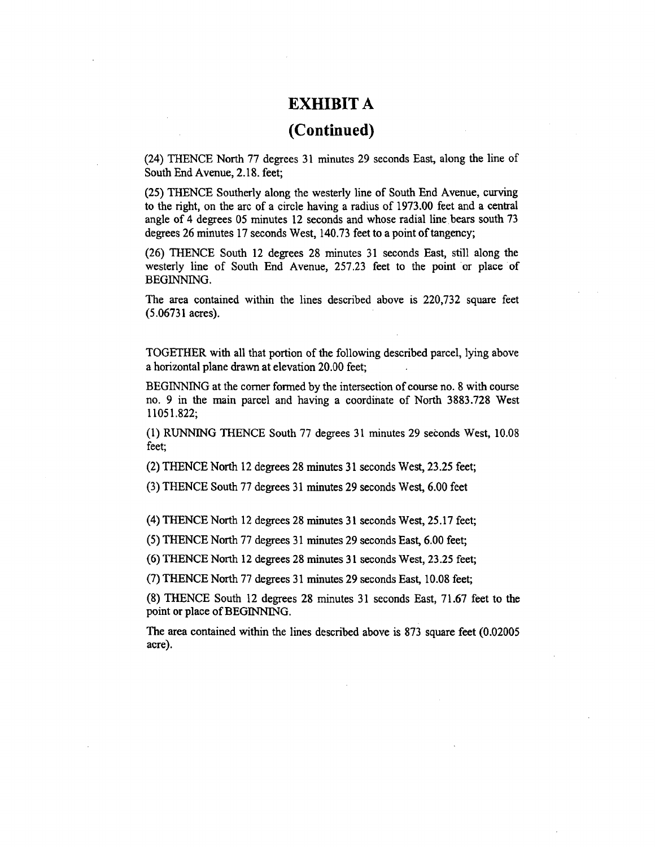# **(Contin**u**ed)**

(24) THENCE North 77 degrees 31 mi**n**u**t**es 29 secon**d**s East**,** along the li**n**e of South End Avenue, 2.18. feet;

(25) THENCE Southerly along the westerly line of South End Avenue, cur*v*ing to the right, on the arc of a circle having a radius of 1973.00 feet and a central angle of 4 degrees 05 minutes 12 seconds and whose radial line bears south 73 degrees 26 minutes 17 seconds West, 140.73 feet to a point of tangency;

(26) THENCE South 12 degrees 28 minutes 31 seconds East, still along the westerly line of South End Avenue, 257.23 feet to the point or place of BEGINNING.

The area contained within the lines described above is 220,732 square feet (5.06731 acres).

TOGET**H**E**R** with all th**a**t portion of the following described **p**arcel, lying above a horizontal plane drawn at elevation 20.00 feet;

BEGINNING at the comer formed by the intersection of course no. 8 with course no. 9 in the main parcel and having a coordinate of North 3883.728 West 11051.822;

(1) RUNNING THENCE South 77 degrees 31 minutes 29 seconds West, 10.08 feet;

(2) THENCE North 12 degrees 28 minutes 31 seconds West, 23.25 feet;

(3) THENCE South 77 degrees 31 minutes 29 seconds West, 6.00 feet

(4) THENCE North 12 degrees 28 mi**n**utes 31 seconds West, 25.17 feet;

(5) THENCE North 77 degrees 31 minutes 29 seconds East, 6.00 feet;

(6) THENCE North 12 degrees 28 minutes 31 seconds West, 23.25 feet;

(7) THENCE North 77 degrees 31 minutes 29 seconds East, 10.08 feet;

(8) THENCE South 12 degrees 28 minutes 31 seconds East, 71.67 feet to the point or place of BEGINNING.

The area contained within the lines described above is 873 square feet (0.02005 acre).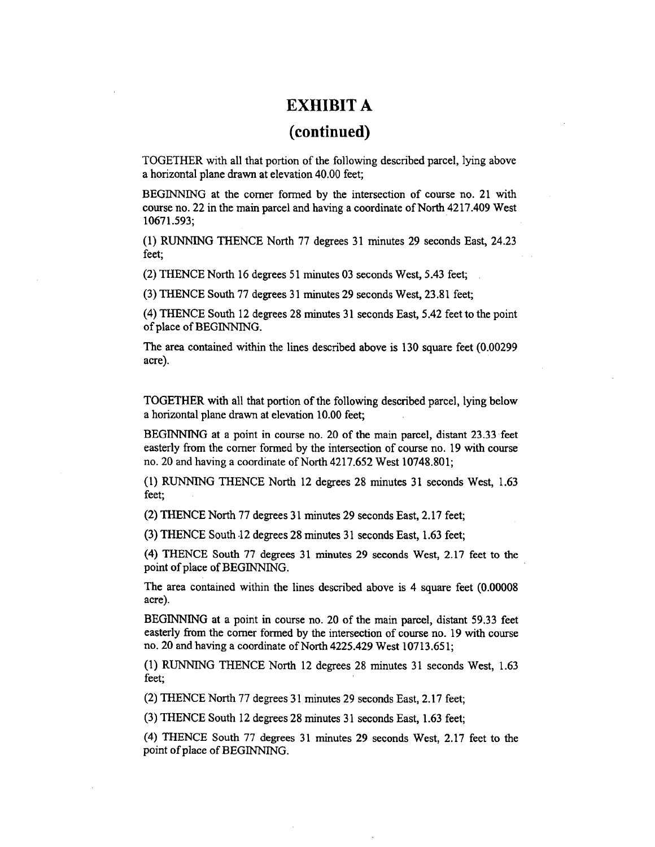# **(continued)**

TOGETHER with all **t**ha**t** porti**o**n **o**f the following desc**ri**bed parcel*,* lying ab**ov**e a horizontal plane drawn at elevation 40.00 feet;

BEGINNING at the comer formed by the intersection of course no. 21 with course no. 22 in the main parcel and having a coordinate of North 4217.409 West 10671.593;

(1) RUNNING THENCE North 77 degrees 31 minutes 29 seconds East, 24.23 feet;

(2) THENCE North 16 degrees 51 minutes 03 seconds West, 5.43 feet;

(3) THENCE South 77 degrees 31 minutes 29 second**s** West, 23.81 feet;

(4) THENCE South 12 degrees 28 minutes 31 seconds East, 5.42 feet to the point of place of BEGINNING.

The area contained within the lines desc**ri**bed above is 130 square feet (0.00299 acre).

TOGETHER with all that portion of the following **d**escribe**d p**ared, lying below a horizontal plane drawn at elevation 10.00 feet;

BEGINNING at a poi**n**t in course no. 20 of the main pared, distant 23.33 feet easterly from the comer formed by the intersection of course no. 19 with course no. 20 **a**nd having a coordinate of North 4217.652 West 10748.801;

(1) RUNNING THENCE North 12 degrees 28 minutes 31 seconds West, 1.63 feet;

(2) THENCE North 77 degrees 31 minutes 29 seconds East, 2.17 feet;

(3) THENCE South .12 degrees 28 minutes 31 seconds East, 1.63 feet;

(4) THE**N**CE South 7**7 d**egrees **3**1 mi**n**utes 29 seconds West**,** 2.1**7** fee**t** t**o** th**e** point of place of BEGINNING.

The area contained within the lines described above is 4 square feet (0.00008 acre).

BEGINNING at a point in course no. 20 of the main parcel, distant 59.33 feet easterl**y** from the comer forme**d** by the intersection of course **n**o. 19 with course no. 20 and having a coordinate of North 4225.429 West 10713.651;

(1) RUNNING THENCE North 12 degrees 28 minutes 31 seconds West, 1.63 feet;

(2) THENCE North 77 degrees 31 minutes 29 seconds East, 2.17 feet;

(3) THENCE South 12 degrees 28 minutes 31 seconds East, 1.63 feet;

(4) THENCE South 77 degrees 31 minutes 29 seconds West, 2.17 feet to the poi**nt** of **pl**ace of BEG*/*NNING.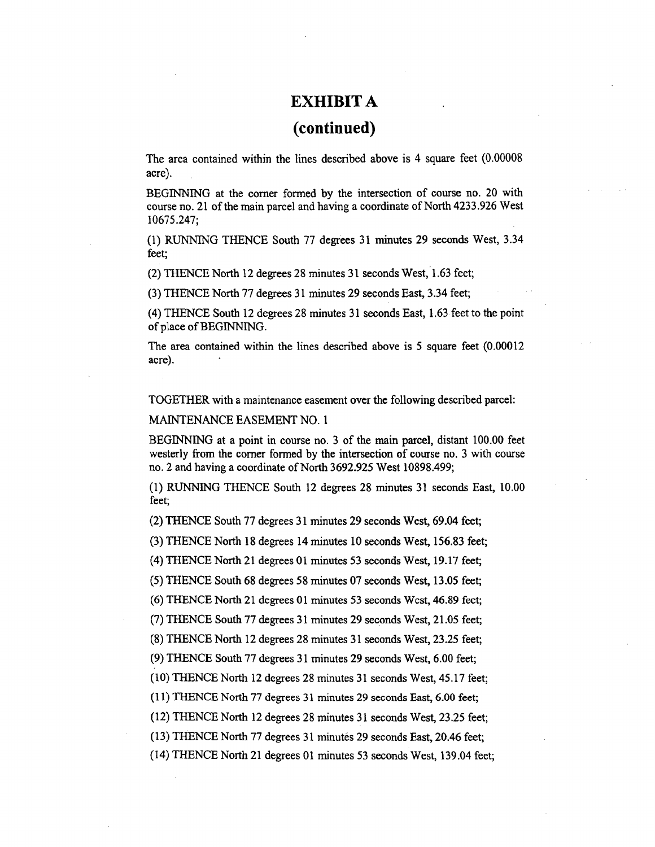## **(continued)**

The area contained withi**n** the lines described abo**v**e is 4 square feet (0.00008 acre).

BEGINNING at the comer formed by the intersection of course no. 20 with course no. 21 of the main parcel and having a coordinate of North 4233.926 West 10675.247;

(1) RUNNING THENCE South 77 degrees 31 minutes 29 seconds West, 3.34 feet;

(2) THENCE North 12 degrees 28 minutes 31 seconds West,*'*l.63 feet;

(3) THENCE North 77 degrees 31 minutes 29 seconds East, 3.34 feet;

(4) THENCE South 12 degrees 28 minutes 31 seconds East, 1.63 feet to the point of place of BEGINNING.

The area contained within the lines described above is 5 square feet (0.00012 acre).

TOGETHER with a main**t**enance easement over the following described **p**arcel:

MAINTENANCE EASEMENT NO. 1

BEGINNING at a point in course no. 3 of the main parcel, distant 100.00 feet westerly from the comer formed by the intersection of course no. 3 with course no. 2 and having a coordinate of North 3692.925 West 10898.499;

(1) RUNNING THENCE South 12 degrees 28 minutes 31 seconds East, 10.00 feet;

(2) THENCE South 77 degrees 31 minutes 29 seconds West, 69.04 feet;

(3) THENCE North 18 degrees 14 minutes 10 seconds West, 156.83 feet;

(4) THENCE North 21 degrees 01 minutes 53 seconds West, 19.17 feet;

(5) THENCE South 68 degrees 58 minutes 07 seconds West, 13.05 feet;

(6) THENCE North 21 degrees 01 minutes 53 seconds West, 46.89 feet;

(7) THENCE South 77 degrees 31 minutes 29 seconds West, 21.05 feet;

(8) THENCE North 12 degrees 28 minutes 31 seconds West, 23.25 feet;

(9) THENCE South 77 degrees 31 minutes 29 seconds West, 6.00 feet;

(10) THENCE North 12 degrees 28 minutes 31 seconds West, 45.17 feet;

(11) THENCE North 77 degrees 31 minutes 29 seconds East, 6.00 feet;

(12) THENCE No*rt*h 12 degrees 28 minutes 31 seconds West, 23.25 feet;

(13) THENCE North 77 degrees 31 minutes 29 seconds East, 20.46 feet;

(14) THENCE North 21 degrees 01 minutes 53 seconds West, 139.04 feet;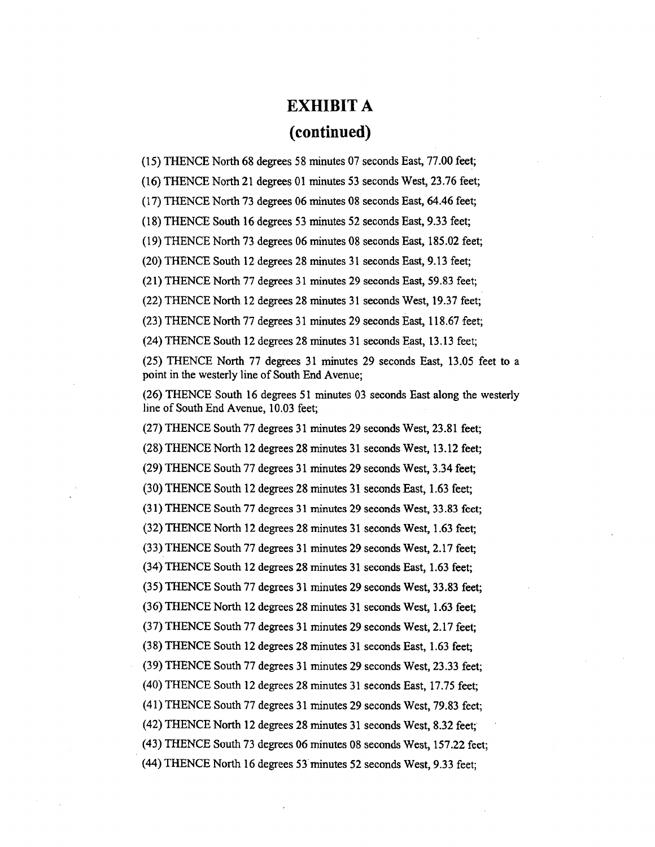# **EXHIBIT A (continu**e**d)**

(15) **TH**ENCE N**o**rth 68 degrees 5**8** minu**t**es 07 seconds East, 77.00 fee**t**;

(16) THENCE North 21 degrees 01 minutes 53 seconds West, 23.76 feet;

(17) THENCE North 73 degrees 06 minutes 08 seconds East, 64.46 feet;

(18) THENCE South 16 degrees 53 minutes 52 seconds East, 9.33 feet;

(19) THENCE North 73 degrees 06 minutes 08 seconds East, 185.02 feet;

(20) THENCE South 12 degrees 28 minutes 31 se**c**onds East, 9.13 feet;

(21) THENCE North 77 degrees 31 minutes 29 seconds East, 59.83 feet;

(22) THENCE North 12 degrees 28 minutes 31 seconds West, 19.37 feet;

(23) THENCE North 77 degrees 31 minutes 29 seconds East, 118.67 feet;

(24) THENCE South 12 degrees 28 minutes 31 seconds East, 13.13 feet;

(25) THENCE North 77 degrees 31 minutes 29 seconds East, 13.05 feet to a point in the westerly line of South End Avenue;

(26) THENCE South 16 degrees 51 minutes 03 seconds East along the westerly line of South End Avenue, 10.03 feet;

(27) THENCE South 77 degrees 31 minutes 29 seconds West, 23.81 feet;

(28) THENCE North 12 degrees 28 minutes 31 seconds West, 13.12 feet;

(29) THENCE South 77 degrees 31 minutes 29 seconds West, 3.34 fee**t**;

(30) THENCE South 12 degrees 28 minutes 31 seconds East, 1.63 feet;

(31) THENCE South 77 degrees 31 minutes 29 seconds West, 33.83 feet;

(32) THENCE North 12 degrees 28 minutes 31 seconds West, 1.63 feet;

(33) THENCE South 77 degrees 31 minutes 29 seconds West, 2.17 feet;

(34) THENCE South 12 degrees 28 minutes 31 seconds East, 1.63 feet;

(35) THENCE South 77 degrees 31 minutes 29 seconds West, 33.83 feet;

(36) THENCE North 12 degrees 28 minutes 31 seconds West, 1.63 feet;

(37) THENCE South 77 degrees 31 minutes 29 seconds West, 2.17 feet;

(38) THENCE South 12 degrees 28 minutes 31 seconds E**a**st, 1.63 feet;

(39) THENCE South 77 degrees 31 minutes 29 seconds West, 23.33 feet;

(40) THENCE South 12 degrees 28 minutes 31 seconds East, 17.75 feet;

(41) THENCE South 77 degrees 31 minutes 29 seconds West, 79.83 feet;

(42) THENCE North 12 degrees 28 minutes 31 seconds West, 8.32 feet;

(43) *TH*ENCE South 73 d**e**gr**ee**s **0**6 min**u**tes 08 seo**o**nds W**e**st, 157.22 **fe**et**;**

(44) THENCE North 16 degrees 53minutes 52 seconds West, 9.33 feet;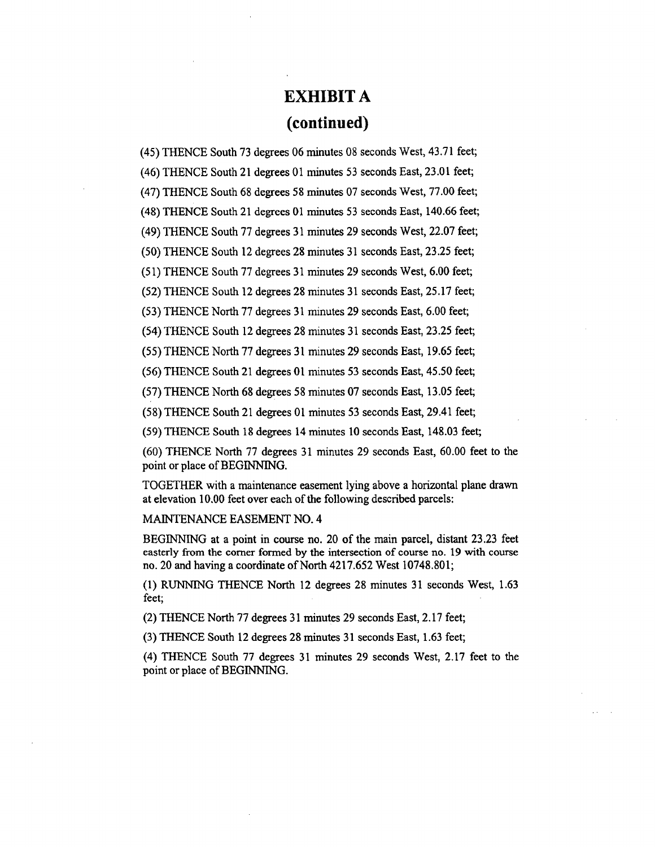# **EXHIBIT A (continued)**

(45) **T**HENCE S**o**uth 73 degrees 06 mi**n**u**t**es 0**8** secon**d**s West, 43.71 fee**t**;

(46) THENCE South 21 degrees 01 minutes 53 seconds East, 23.01 feet;

(47) THENCE South 68 degrees 58 minutes 07 seconds West, 77.00 feet;

(48) *T*HENCE South 21 degrees 01 minutes 53 seconds East, 140.66 feet;

(49) THENCE South 77 degrees 31 minutes 29 seconds West, 22.07 feet;

(50) THENCE South 12 degrees 28 minutes 31 seconds East, 23.25 feet;

(51) THENCE South 77 degrees 31 minutes 29 seconds West, 6.00 feet;

(52) THENCE South 12 degrees 28 minutes 31 seconds East, 25.17 feet;

(53) *T*HENCE North 77 degrees 31 minutes 29 seconds East, 6.00 feet;

(54) THENCE South 12 degrees 28 minutes 31 seconds East, 23.25 feet;

(55) THENCE North 77 degrees 31 minutes 29 seconds East, 19.65 feet;

(56) THENCE South 21 degrees 01 minutes 53 seconds East, 45.50 feet;

(57) THENCE North 68 degrees 58 minutes 07 seconds East, 13.05 feet;

(58) THENCE South 21 degrees 01 minutes 53 seconds East, 29.41 feet;

(59) THENCE South 18 degrees 14 minutes 10 seconds East, 148.03 feet;

(60) THENCE North 77 degrees 31 minutes 29 seconds East, 60.00 feet to the point or place of BEGINNING.

TOGETHER with a maintenance easement l**y**ing abo**v**e a h**ori**zontal pl**a**ne drawn at elevation 10.00 feet over each of the following described parcels:

MAINTENANCE EASEMENT NO. 4

BEGINNING at a point in course no. 20 of the main parcel, dist**a**nt 23.23 feet easterly from the comer formed by the intersection of course no. 19 with course no. 20 and having a coordinate of North 4217.652 West 10748.801;

(1) RUNNING THENCE North 12 degrees 28 minutes 31 seconds West, 1.63 feet;

(2) THENCE North 77 degrees 31 minutes 29 seconds East, 2.17 feet;

(3) THENCE South 12 degrees 28 minutes 31 seconds East, 1.63 feet;

(4) THENCE South 77 degrees 31 minutes 29 seconds West, 2.17 feet to the point or place of BEGINNING.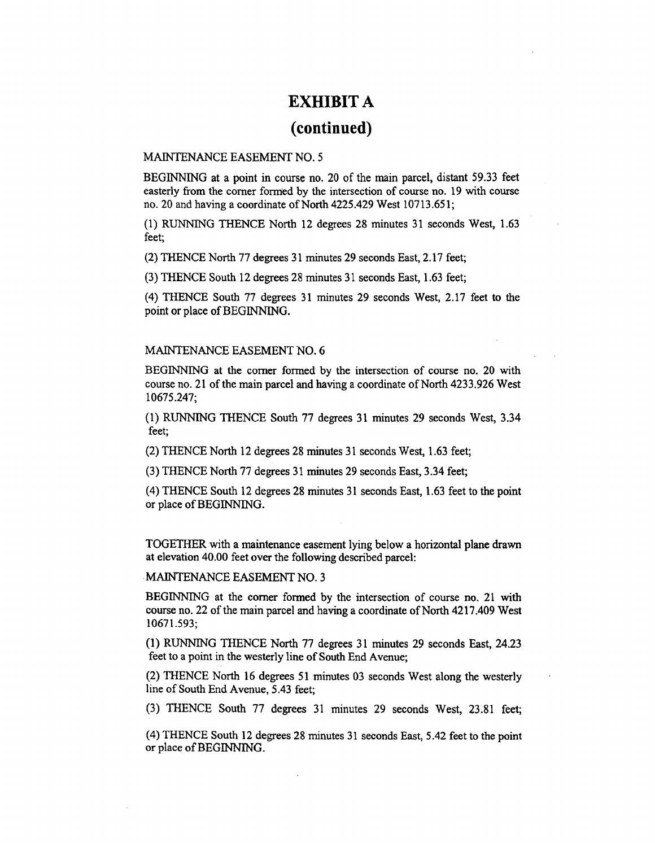# **EX**H**IBI**T **A (continued)**

#### MAINTEN*A*NCE EASEMENT NO. 5

BEGINNING at a point in course no. 20 of the main parcel, distant 59.33 feet easterly from the comer formed by the intersection of course no. 19 with course no. 20 and having a coordinate of North 4225.429 West 10713.651;

(1) RUNNING THENCE North 12 degrees 28 minutes 31 seconds Wes**t**, 1.63 feet;

(2) THENCE North 77 degrees 31 minutes 29 seconds East, 2.17 feet;

(3) THENCE South 12 degrees 28 minutes 31 seconds East, 1.63 feet;

(4) THENCE South 77 degrees 31 minutes 29 seconds West, 2.17 feet to the point or place of BEGINNING.

#### MAINTENANCE EASEMENT NO. 6

BEGINNING at the comer formed by the intersection of course no. 20 with course no. 21 of the main parcel and having a coordinate of North 4233.926 West 10675.247;

(1) RUNNING THENCE S**o**uth **7**7 **d**egrees 31 m**i**nute**s** 29 seconds West, 3.34 feet;

(2) THENCE North 12 degrees 28 minutes 31 seconds West, 1.63 feet;

(3) THENCE North 77 degrees 31 minutes 29 seconds East, 3.34 feet;

(4) THENCE South 12 degrees 28 minutes 31 seconds East, 1.63 feet to the point or place of BEGINNING.

TOGETHER with a ma**i**ntenance easement lying b**e**l**o**w a **h**orizontal **p**lane dr**a**wn at elevation 40.00 feet over the following described parcel:

MAINTENANCE EASEMENT NO. 3

BEGINNING at the corner formed by the intersection of course no. 21 with course no. 22 of the main parcel and having a coordinate of North 4217.409 West 10671.593;

(1) RUNNING THENCE North 77 degrees 31 minutes 29 seconds East, 24.23 fee**t** to a point in **t**he **w**esterly li**n**e of South En**d** Avenue;

(2) THENCE North 16 degrees 51 minutes 03 seconds West along the westerly line of South End Avenue, 5.43 feet;

(3) THENCE South 77 degrees 31 minutes 29 seconds West, 23.81 feet;

(4) THENCE South 12 degrees 28 minutes 31 seconds East, 5.42 feet to the point or place of BEGINNING.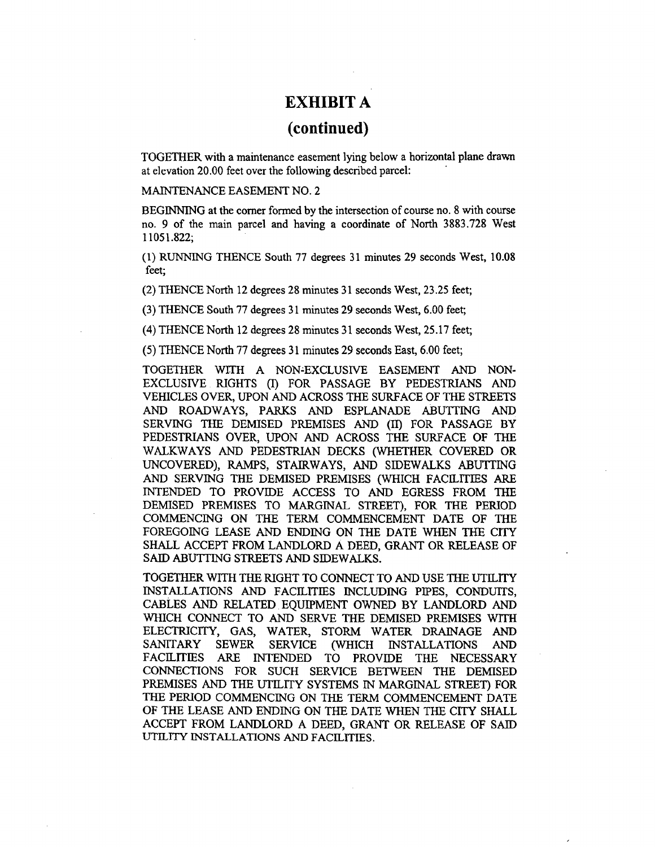## **(continued)**

TOGETHER with a maintenance easement lying below a horizontal **p**lane drawn at elevation 20.00 feet over the following described parcel:

MAINTENANCE EASEMENT NO. 2

BEGINNING at the corner formed by the intersection of course no. 8 with course no. 9 of the main parcel and having a coordinate of North 3883.728 West 11051.822;

(1) RUNNING THENCE South 77 degrees 31 minutes 29 seconds West, 10.08 feet;

(2) THENCE North 12 degrees 28 minutes 31 seconds West, 23.25 feet;

(3) THENCE South 77 degrees 31 minutes 29 seconds West, 6.00 feet;

(4) THENCE North 12 degrees 28 minutes 31 seconds West, 25.17 feet;

(5) THENCE North 77 degrees 31 minutes 29 seconds East, 6.00 feet;

TOGETHER WITH A **N**ON=EXC**L**USIVE EASEMENT AND NON-EXCLUSIVE RIGHTS (1) FOR PASSAGE BY PEDESTRIANS AND VEHICLES OVER, UPON AND ACROSS THE SURFACE OF THE STREETS AND ROADWAYS, PARKS AND ESP**L**ANADE A*B*UTTING AND SERVING THE DEMISED PREMISES AND (11) FO**R** PASSAGE BY PEDESTRI*A*NS OVER, UPON AND AC**R**OSS THE SURFACE O**F** THE WA*LK*WAYS *A*ND PEDESTRI*A*N DECKS (WHETHER COVERED O**R** UNCOVERED), RAMPS, STAIRWAYS, AND SIDEWALKS A*B*UTrING AND SERVING THE DEMISED PREMISES (WHICH FACILITIES *A*RE INTENDED TO PROVIDE ACCESS TO AND EGRESS FROM THE DEMISED PREMISES TO MARGINAL STREET), FOR THE PERIOD COMMENCING ON THE TERM COMMENCEMENT DATE OF THE FOREGOING LEASE AND ENDING ON THE DATE WHEN THE CITY SHALL ACCEPT FROM LANDLORD A DEED, GRANT OR RELEASE OF SAID ABUTTING STREETS *A*ND SIDEWALKS.

T**O**GETHER WIT**H** THE RIGHT **T**O CONNECT T**O** *A*ND USE THE UTILITY INSTALLATIONS AND FACILITIES INCLUDING PIPES, CONDUITS, cABLES AND RELATE**D** EQUIPMENT OWNED BY LANDLORD AND WHICH CONNECT TO AND SERVE THE DEMISED PREMISES WITH ELECTRICITY, GAS, WATE*R*, STORM WATER DRAINAGE AND SERVICE (WHICH INSTALLATIONS AND FACILITIES A*R*E INTENDED TO PROVIDE THE NECESSARY CONNECTIONS FOR SUCH SERVICE BETWEEN THE DEMISED PREMISES AND THE UTILITY **S**YSTEMS IN MARGINAL STREET) **F**OR THE PERIOD COMMENCING ON THE TER*M* COMMENCEMENT DATE OF THE LEASE AND ENDING ON THE DATE WHEN THE CITY SHA*L*L ACCEPT FROM LANDLORD A DEED, GRANT OR RELEASE OF SAID UTI*L*ITY INST*AL*LATIONS *A*ND FACILITIES.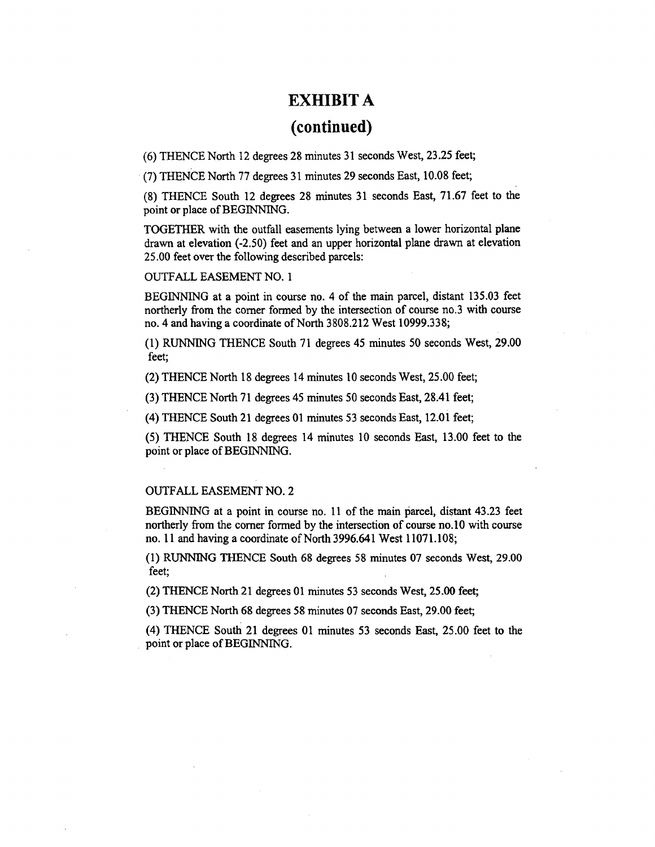# **(c**on**ti**nued**)**

(6) THENCE North 12 degrees 28 minut**e**s 31 **s**e**c**onds West, 23.25 **feet**;

(7) THENCE North 77 d**e**grees 31 minutes 29 seconds East, 10.08 feet;

(8) THENCE South 12 degrees 28 minutes 31 seconds East, 71.67 f**e**et to the point or place of BEGINNING.

TOGETHER with the outfall **c**asem**e**nts lying b**e**tw**e**en a lower horizontal plane drawn at elevation (-2.50) feet and an upper horizontal plane drawn at **e**l**e**v**a**tion 25.00 feet over the following described parcels:

#### OUTFALL EASEMENT NO. 1

BEGINNIN**G a**t a point in course no. 4 of the m**a**in par**ce**l, distant 135.03 f**ee**t northerly from the comer formed by the intersection of course no.3 with course no. 4 and having a coordinate of North 3808.212 West 10999.338;

(1) RUNNING THENCE South 71 degr**e**es 45 minut**e**s 50 seconds West, 29.00 f**e**et;

(2) THENCE North 18 degrees 14 minut**e**s 10 seconds West, 25.00 feet;

(3) THENCE North 71 degre**e**s 45 minutes 50 seconds East, 28.41 feet;

(4) THENCE South 21 degrees 01 minutes 53 seconds East, 12.0i feet;

(5) THENCE South 18 degrees 14 minutes 10 seconds East, 13.00 f**e**et to the point or pla**ce** of BEGINNING.

### OUTFA*L*L EASEMENT NO. 2

BEGINNING at a point in course no. 11 of the main parcel, distant 43.23 feet nor**t**herly from the comer formed by the intersection of course no.10 with course no. 1**1** and having a coordinate of North 3996.64**1** Wes**t 1**1071.108;

(**1**) RUNNING THENCE South 68 degrees 58 minutes *0*7 seconds West, 29.00 feet;

(2) THENCE North 2**1** degrees 0**1** minutes 53 seconds West, 25.00 feet;

(3) THENCE North 68 degrees 58 minutes 07 seconds East, 29.00 feet;

(4) THENCE South 2**1** degrees 0**1** minutes 53 seconds East, 25.*0*0 feet to the • point or place of BEGINNING.